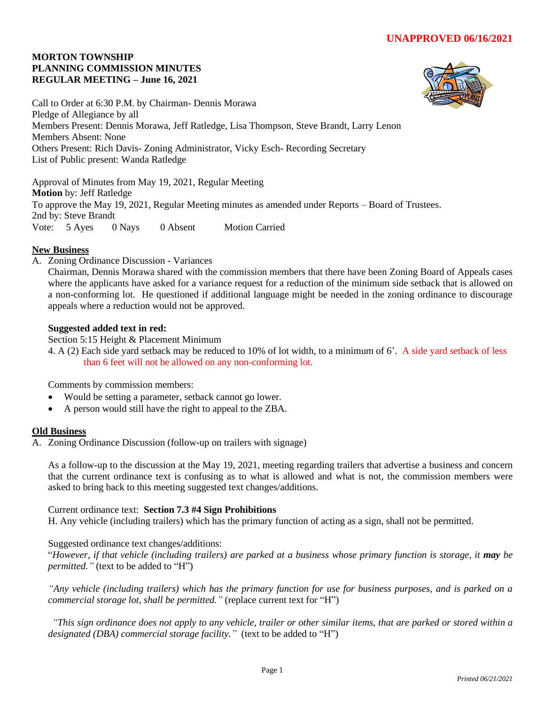## **MORTON TOWNSHIP PLANNING COMMISSION MINUTES REGULAR MEETING – June 16, 2021**



Call to Order at 6:30 P.M. by Chairman- Dennis Morawa Pledge of Allegiance by all Members Present: Dennis Morawa, Jeff Ratledge, Lisa Thompson, Steve Brandt, Larry Lenon Members Absent: None Others Present: Rich Davis- Zoning Administrator, Vicky Esch- Recording Secretary List of Public present: Wanda Ratledge

Approval of Minutes from May 19, 2021, Regular Meeting **Motion** by: Jeff Ratledge To approve the May 19, 2021, Regular Meeting minutes as amended under Reports – Board of Trustees. 2nd by: Steve Brandt Vote: 5 Ayes 0 Nays 0 Absent Motion Carried

# **New Business**

A. Zoning Ordinance Discussion - Variances

Chairman, Dennis Morawa shared with the commission members that there have been Zoning Board of Appeals cases where the applicants have asked for a variance request for a reduction of the minimum side setback that is allowed on a non-conforming lot. He questioned if additional language might be needed in the zoning ordinance to discourage appeals where a reduction would not be approved.

## **Suggested added text in red:**

Section 5:15 Height & Placement Minimum

4. A (2) Each side yard setback may be reduced to 10% of lot width, to a minimum of 6'. A side yard setback of less than 6 feet will not be allowed on any non-conforming lot.

Comments by commission members:

- Would be setting a parameter, setback cannot go lower.
- A person would still have the right to appeal to the ZBA.

# **Old Business**

A. Zoning Ordinance Discussion (follow-up on trailers with signage)

As a follow-up to the discussion at the May 19, 2021, meeting regarding trailers that advertise a business and concern that the current ordinance text is confusing as to what is allowed and what is not, the commission members were asked to bring back to this meeting suggested text changes/additions.

## Current ordinance text: **Section 7.3 #4 Sign Prohibitions**

H. Any vehicle (including trailers) which has the primary function of acting as a sign, shall not be permitted.

## Suggested ordinance text changes/additions:

"*However, if that vehicle (including trailers) are parked at a business whose primary function is storage, it may be permitted."* (text to be added to "H")

*"Any vehicle (including trailers) which has the primary function for use for business purposes, and is parked on a commercial storage lot, shall be permitted."* (replace current text for "H")

*"This sign ordinance does not apply to any vehicle, trailer or other similar items, that are parked or stored within a designated (DBA) commercial storage facility."* (text to be added to "H")